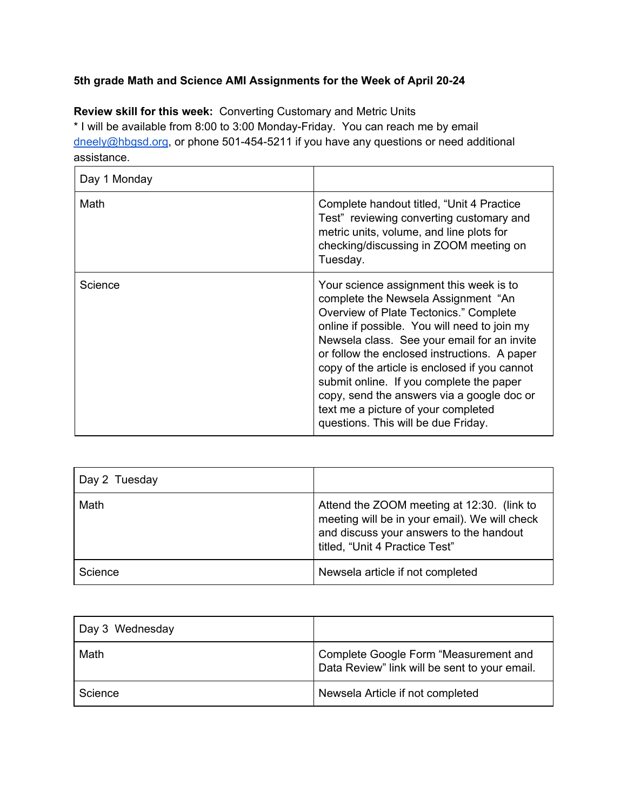## **5th grade Math and Science AMI Assignments for the Week of April 20-24**

**Review skill for this week:** Converting Customary and Metric Units \* I will be available from 8:00 to 3:00 Monday-Friday. You can reach me by email [dneely@hbgsd.org](mailto:dneely@hbgsd.org), or phone 501-454-5211 if you have any questions or need additional assistance.

| Day 1 Monday |                                                                                                                                                                                                                                                                                                                                                                                                                                                                                                  |
|--------------|--------------------------------------------------------------------------------------------------------------------------------------------------------------------------------------------------------------------------------------------------------------------------------------------------------------------------------------------------------------------------------------------------------------------------------------------------------------------------------------------------|
| Math         | Complete handout titled, "Unit 4 Practice"<br>Test" reviewing converting customary and<br>metric units, volume, and line plots for<br>checking/discussing in ZOOM meeting on<br>Tuesday.                                                                                                                                                                                                                                                                                                         |
| Science      | Your science assignment this week is to<br>complete the Newsela Assignment "An<br>Overview of Plate Tectonics." Complete<br>online if possible. You will need to join my<br>Newsela class. See your email for an invite<br>or follow the enclosed instructions. A paper<br>copy of the article is enclosed if you cannot<br>submit online. If you complete the paper<br>copy, send the answers via a google doc or<br>text me a picture of your completed<br>questions. This will be due Friday. |

| Day 2 Tuesday |                                                                                                                                                                          |
|---------------|--------------------------------------------------------------------------------------------------------------------------------------------------------------------------|
| Math          | Attend the ZOOM meeting at 12:30. (link to<br>meeting will be in your email). We will check<br>and discuss your answers to the handout<br>titled, "Unit 4 Practice Test" |
| Science       | Newsela article if not completed                                                                                                                                         |

| Day 3 Wednesday |                                                                                        |
|-----------------|----------------------------------------------------------------------------------------|
| Math            | Complete Google Form "Measurement and<br>Data Review" link will be sent to your email. |
| Science         | Newsela Article if not completed                                                       |